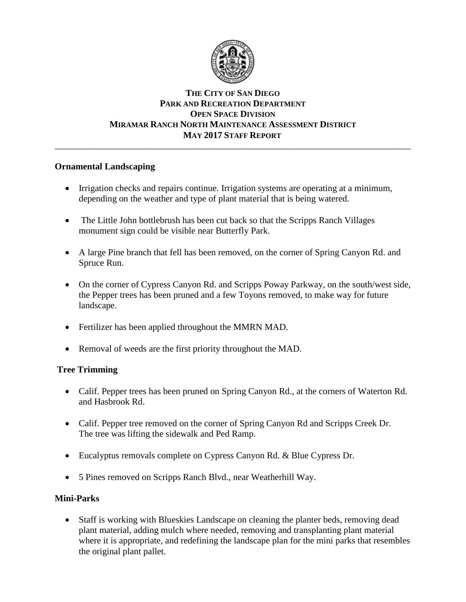

# **THE CITY OF SAN DIEGO PARK AND RECREATION DEPARTMENT OPEN SPACE DIVISION MIRAMAR RANCH NORTH MAINTENANCE ASSESSMENT DISTRICT MAY 2017 STAFF REPORT**

\_\_\_\_\_\_\_\_\_\_\_\_\_\_\_\_\_\_\_\_\_\_\_\_\_\_\_\_\_\_\_\_\_\_\_\_\_\_\_\_\_\_\_\_\_\_\_\_\_\_\_\_\_\_\_\_\_\_\_\_\_\_\_\_\_\_\_\_\_\_\_\_\_\_\_\_\_\_

# **Ornamental Landscaping**

- Irrigation checks and repairs continue. Irrigation systems are operating at a minimum, depending on the weather and type of plant material that is being watered.
- The Little John bottlebrush has been cut back so that the Scripps Ranch Villages monument sign could be visible near Butterfly Park.
- A large Pine branch that fell has been removed, on the corner of Spring Canyon Rd. and Spruce Run.
- On the corner of Cypress Canyon Rd. and Scripps Poway Parkway, on the south/west side, the Pepper trees has been pruned and a few Toyons removed, to make way for future landscape.
- Fertilizer has been applied throughout the MMRN MAD.
- Removal of weeds are the first priority throughout the MAD.

# **Tree Trimming**

- Calif. Pepper trees has been pruned on Spring Canyon Rd., at the corners of Waterton Rd. and Hasbrook Rd.
- Calif. Pepper tree removed on the corner of Spring Canyon Rd and Scripps Creek Dr. The tree was lifting the sidewalk and Ped Ramp.
- Eucalyptus removals complete on Cypress Canyon Rd. & Blue Cypress Dr.
- 5 Pines removed on Scripps Ranch Blvd., near Weatherhill Way.

# **Mini-Parks**

 Staff is working with Blueskies Landscape on cleaning the planter beds, removing dead plant material, adding mulch where needed, removing and transplanting plant material where it is appropriate, and redefining the landscape plan for the mini parks that resembles the original plant pallet.